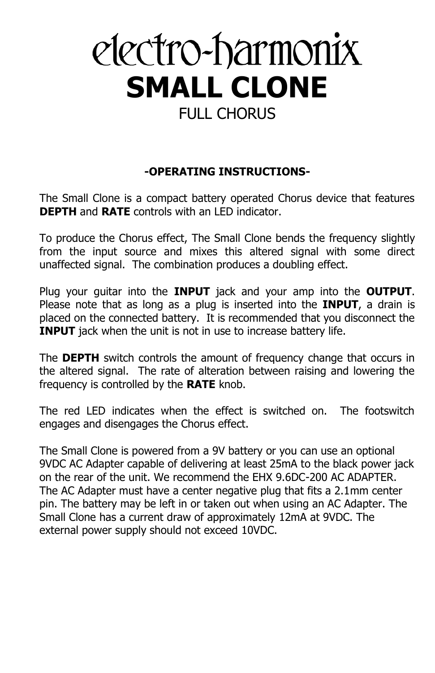# electro-harmonix **SMALL CLONE** FULL CHORUS

### **-OPERATING INSTRUCTIONS-**

The Small Clone is a compact battery operated Chorus device that features **DEPTH** and **RATE** controls with an LED indicator.

To produce the Chorus effect, The Small Clone bends the frequency slightly from the input source and mixes this altered signal with some direct unaffected signal. The combination produces a doubling effect.

Plug your guitar into the **INPUT** jack and your amp into the **OUTPUT**. Please note that as long as a plug is inserted into the **INPUT**, a drain is placed on the connected battery. It is recommended that you disconnect the **INPUT** jack when the unit is not in use to increase battery life.

The **DEPTH** switch controls the amount of frequency change that occurs in the altered signal. The rate of alteration between raising and lowering the frequency is controlled by the **RATE** knob.

The red LED indicates when the effect is switched on. The footswitch engages and disengages the Chorus effect.

The Small Clone is powered from a 9V battery or you can use an optional 9VDC AC Adapter capable of delivering at least 25mA to the black power jack on the rear of the unit. We recommend the EHX 9.6DC-200 AC ADAPTER. The AC Adapter must have a center negative plug that fits a 2.1mm center pin. The battery may be left in or taken out when using an AC Adapter. The Small Clone has a current draw of approximately 12mA at 9VDC. The external power supply should not exceed 10VDC.